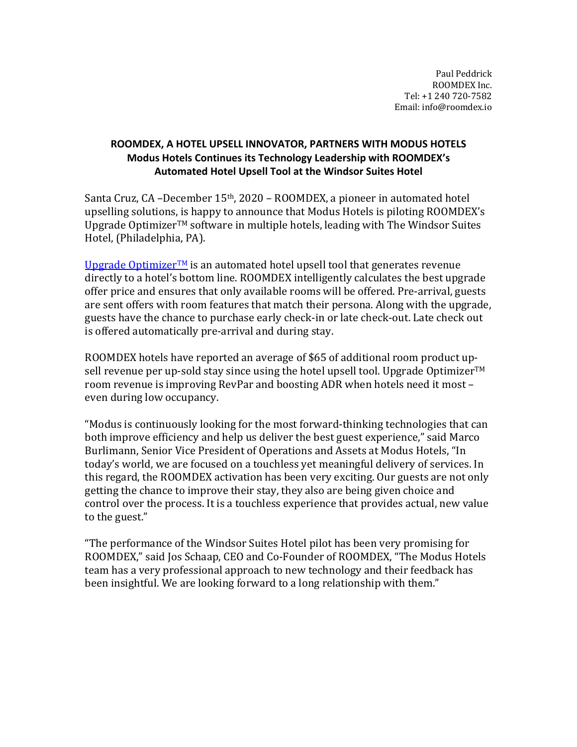Paul Peddrick ROOMDEX Inc. Tel: +1 240 720-7582 Email: info@roomdex.io

## **ROOMDEX, A HOTEL UPSELL INNOVATOR, PARTNERS WITH MODUS HOTELS Modus Hotels Continues its Technology Leadership with ROOMDEX's Automated Hotel Upsell Tool at the Windsor Suites Hotel**

Santa Cruz, CA –December  $15<sup>th</sup>$ , 2020 – ROOMDEX, a pioneer in automated hotel upselling solutions, is happy to announce that Modus Hotels is piloting ROOMDEX's Upgrade Optimizer<sup>TM</sup> software in multiple hotels, leading with The Windsor Suites Hotel, (Philadelphia, PA).

Upgrade Optimizer<sup>TM</sup> is an automated hotel upsell tool that generates revenue directly to a hotel's bottom line. ROOMDEX intelligently calculates the best upgrade offer price and ensures that only available rooms will be offered. Pre-arrival, guests are sent offers with room features that match their persona. Along with the upgrade, guests have the chance to purchase early check-in or late check-out. Late check out is offered automatically pre-arrival and during stay.

ROOMDEX hotels have reported an average of \$65 of additional room product upsell revenue per up-sold stay since using the hotel upsell tool. Upgrade Optimizer<sup>TM</sup> room revenue is improving RevPar and boosting ADR when hotels need it most even during low occupancy.

"Modus is continuously looking for the most forward-thinking technologies that can both improve efficiency and help us deliver the best guest experience," said Marco Burlimann, Senior Vice President of Operations and Assets at Modus Hotels, "In today's world, we are focused on a touchless yet meaningful delivery of services. In this regard, the ROOMDEX activation has been very exciting. Our guests are not only getting the chance to improve their stay, they also are being given choice and control over the process. It is a touchless experience that provides actual, new value to the guest."

"The performance of the Windsor Suites Hotel pilot has been very promising for ROOMDEX," said Jos Schaap, CEO and Co-Founder of ROOMDEX, "The Modus Hotels team has a very professional approach to new technology and their feedback has been insightful. We are looking forward to a long relationship with them."